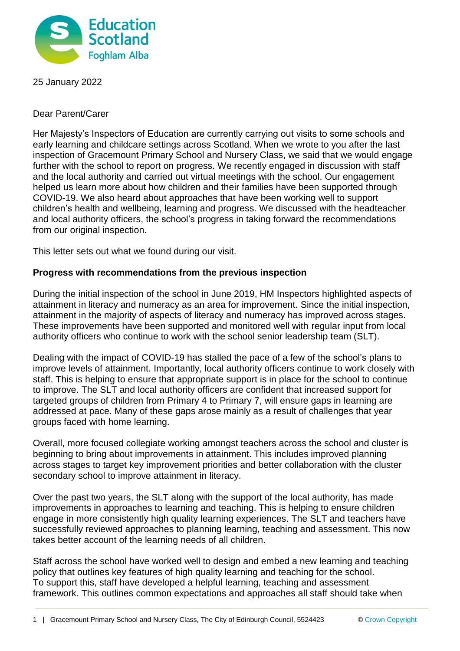

25 January 2022

Dear Parent/Carer

Her Majesty's Inspectors of Education are currently carrying out visits to some schools and early learning and childcare settings across Scotland. When we wrote to you after the last inspection of Gracemount Primary School and Nursery Class, we said that we would engage further with the school to report on progress. We recently engaged in discussion with staff and the local authority and carried out virtual meetings with the school. Our engagement helped us learn more about how children and their families have been supported through COVID-19. We also heard about approaches that have been working well to support children's health and wellbeing, learning and progress. We discussed with the headteacher and local authority officers, the school's progress in taking forward the recommendations from our original inspection.

This letter sets out what we found during our visit.

## **Progress with recommendations from the previous inspection**

During the initial inspection of the school in June 2019, HM Inspectors highlighted aspects of attainment in literacy and numeracy as an area for improvement. Since the initial inspection, attainment in the majority of aspects of literacy and numeracy has improved across stages. These improvements have been supported and monitored well with regular input from local authority officers who continue to work with the school senior leadership team (SLT).

Dealing with the impact of COVID-19 has stalled the pace of a few of the school's plans to improve levels of attainment. Importantly, local authority officers continue to work closely with staff. This is helping to ensure that appropriate support is in place for the school to continue to improve. The SLT and local authority officers are confident that increased support for targeted groups of children from Primary 4 to Primary 7, will ensure gaps in learning are addressed at pace. Many of these gaps arose mainly as a result of challenges that year groups faced with home learning.

Overall, more focused collegiate working amongst teachers across the school and cluster is beginning to bring about improvements in attainment. This includes improved planning across stages to target key improvement priorities and better collaboration with the cluster secondary school to improve attainment in literacy.

Over the past two years, the SLT along with the support of the local authority, has made improvements in approaches to learning and teaching. This is helping to ensure children engage in more consistently high quality learning experiences. The SLT and teachers have successfully reviewed approaches to planning learning, teaching and assessment. This now takes better account of the learning needs of all children.

Staff across the school have worked well to design and embed a new learning and teaching policy that outlines key features of high quality learning and teaching for the school. To support this, staff have developed a helpful learning, teaching and assessment framework. This outlines common expectations and approaches all staff should take when